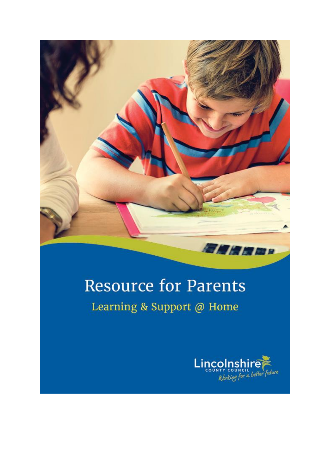

## **Resource for Parents**

### Learning & Support @ Home

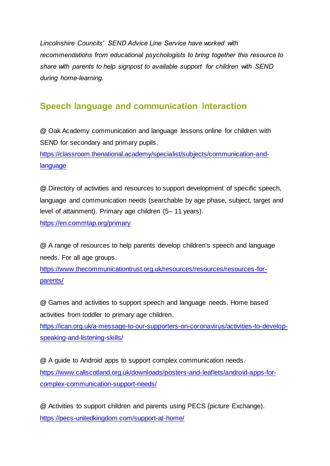*Lincolnshire Councils' SEND Advice Line Service have worked with recommendations from educational psychologists to bring together this resource to share with parents to help signpost to available support for children with SEND during home-learning.*

### **Speech language and communication interaction**

**@** Oak Academy communication and language lessons online for children with SEND for secondary and primary pupils.

https://classroom.thenational.academy/specialist/subjects/communication-andlanguage

**@** Directory of activities and resources to support development of specific speech, language and communication needs (searchable by age phase, subject, target and level of attainment). Primary age children (5– 11 years).

https://en.commtap.org/primary

**@** A range of resources to help parents develop children's speech and language needs. For all age groups.

https://www.thecommunicationtrust.org.uk/resources/resources/resources-forparents/

**@** Games and activities to support speech and language needs. Home based activities from toddler to primary age children.

https://ican.org.uk/a-message-to-our-supporters-on-coronavirus/activities-to-developspeaking-and-listening-skills/

**@** A guide to Android apps to support complex communication needs. https://www.callscotland.org.uk/downloads/posters-and-leaflets/android-apps-forcomplex-communication-support-needs/

**@** Activities to support children and parents using PECS (picture Exchange). https://pecs-unitedkingdom.com/support-at-home/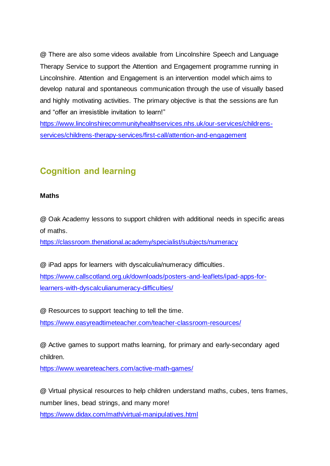**@** There are also some videos available from Lincolnshire Speech and Language Therapy Service to support the Attention and Engagement programme running in Lincolnshire. Attention and Engagement is an intervention model which aims to develop natural and spontaneous communication through the use of visually based and highly motivating activities. The primary objective is that the sessions are fun and "offer an irresistible invitation to learn!"

https://www.lincolnshirecommunityhealthservices.nhs.uk/our-services/childrensservices/childrens-therapy-services/first-call/attention-and-engagement

### **Cognition and learning**

### **Maths**

**@** Oak Academy lessons to support children with additional needs in specific areas of maths.

https://classroom.thenational.academy/specialist/subjects/numeracy

**@** iPad apps for learners with dyscalculia/numeracy difficulties. https://www.callscotland.org.uk/downloads/posters-and-leaflets/ipad-apps-forlearners-with-dyscalculianumeracy-difficulties/

**@** Resources to support teaching to tell the time. https://www.easyreadtimeteacher.com/teacher-classroom-resources/

**@** Active games to support maths learning, for primary and early-secondary aged children.

https://www.weareteachers.com/active-math-games/

**@** Virtual physical resources to help children understand maths, cubes, tens frames, number lines, bead strings, and many more!

https://www.didax.com/math/virtual-manipulatives.html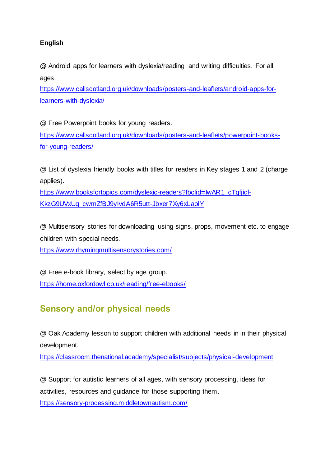### **English**

**@** Android apps for learners with dyslexia/reading and writing difficulties. For all ages.

https://www.callscotland.org.uk/downloads/posters-and-leaflets/android-apps-forlearners-with-dyslexia/

**@** Free Powerpoint books for young readers.

https://www.callscotland.org.uk/downloads/posters-and-leaflets/powerpoint-booksfor-young-readers/

**@** List of dyslexia friendly books with titles for readers in Key stages 1 and 2 (charge applies).

https://www.booksfortopics.com/dyslexic-readers?fbclid=IwAR1\_cTqfjigl-KkzG9UVxUq\_cwmZfBJ9yIvdA6R5utt-Jbxer7Xy6xLaolY

**@** Multisensory stories for downloading using signs, props, movement etc. to engage children with special needs.

https://www.rhymingmultisensorystories.com/

**@** Free e-book library, select by age group. https://home.oxfordowl.co.uk/reading/free-ebooks/

### **Sensory and/or physical needs**

**@** Oak Academy lesson to support children with additional needs in in their physical development.

https://classroom.thenational.academy/specialist/subjects/physical-development

**@** Support for autistic learners of all ages, with sensory processing, ideas for activities, resources and guidance for those supporting them. https://sensory-processing.middletownautism.com/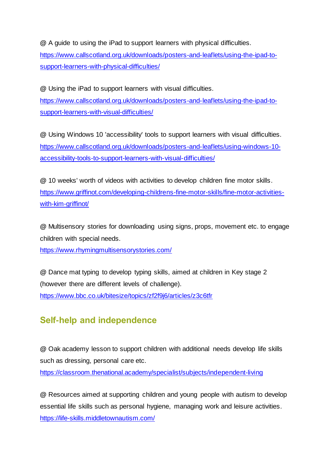**@** A guide to using the iPad to support learners with physical difficulties.

https://www.callscotland.org.uk/downloads/posters-and-leaflets/using-the-ipad-tosupport-learners-with-physical-difficulties/

**@** Using the iPad to support learners with visual difficulties. https://www.callscotland.org.uk/downloads/posters-and-leaflets/using-the-ipad-tosupport-learners-with-visual-difficulties/

**@** Using Windows 10 'accessibility' tools to support learners with visual difficulties. https://www.callscotland.org.uk/downloads/posters-and-leaflets/using-windows-10 accessibility-tools-to-support-learners-with-visual-difficulties/

**@** 10 weeks' worth of videos with activities to develop children fine motor skills. https://www.griffinot.com/developing-childrens-fine-motor-skills/fine-motor-activitieswith-kim-griffinot/

**@** Multisensory stories for downloading using signs, props, movement etc. to engage children with special needs.

https://www.rhymingmultisensorystories.com/

**@** Dance mat typing to develop typing skills, aimed at children in Key stage 2 (however there are different levels of challenge). https://www.bbc.co.uk/bitesize/topics/zf2f9j6/articles/z3c6tfr

### **Self-help and independence**

**@** Oak academy lesson to support children with additional needs develop life skills such as dressing, personal care etc.

https://classroom.thenational.academy/specialist/subjects/independent-living

**@** Resources aimed at supporting children and young people with autism to develop essential life skills such as personal hygiene, managing work and leisure activities. https://life-skills.middletownautism.com/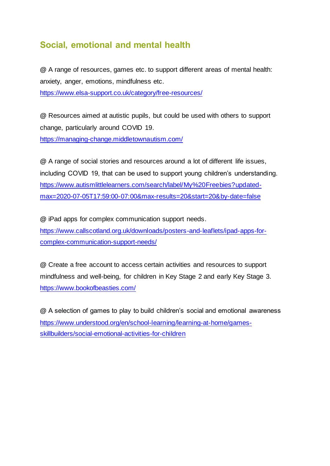### **Social, emotional and mental health**

**@** A range of resources, games etc. to support different areas of mental health: anxiety, anger, emotions, mindfulness etc. https://www.elsa-support.co.uk/category/free-resources/

**@** Resources aimed at autistic pupils, but could be used with others to support change, particularly around COVID 19. https://managing-change.middletownautism.com/

**@** A range of social stories and resources around a lot of different life issues, including COVID 19, that can be used to support young children's understanding. https://www.autismlittlelearners.com/search/label/My%20Freebies?updatedmax=2020-07-05T17:59:00-07:00&max-results=20&start=20&by-date=false

**@** iPad apps for complex communication support needs. https://www.callscotland.org.uk/downloads/posters-and-leaflets/ipad-apps-forcomplex-communication-support-needs/

**@** Create a free account to access certain activities and resources to support mindfulness and well-being, for children in Key Stage 2 and early Key Stage 3. https://www.bookofbeasties.com/

**@** A selection of games to play to build children's social and emotional awareness https://www.understood.org/en/school-learning/learning-at-home/gamesskillbuilders/social-emotional-activities-for-children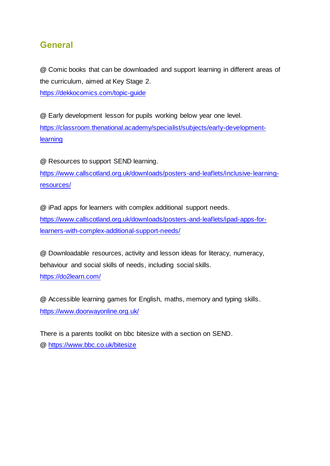### **General**

**@** Comic books that can be downloaded and support learning in different areas of the curriculum, aimed at Key Stage 2.

https://dekkocomics.com/topic-guide

**@** Early development lesson for pupils working below year one level. https://classroom.thenational.academy/specialist/subjects/early-developmentlearning

**@** Resources to support SEND learning.

https://www.callscotland.org.uk/downloads/posters-and-leaflets/inclusive-learningresources/

**@** iPad apps for learners with complex additional support needs. https://www.callscotland.org.uk/downloads/posters-and-leaflets/ipad-apps-forlearners-with-complex-additional-support-needs/

**@** Downloadable resources, activity and lesson ideas for literacy, numeracy, behaviour and social skills of needs, including social skills. https://do2learn.com/

**@** Accessible learning games for English, maths, memory and typing skills. https://www.doorwayonline.org.uk/

There is a parents toolkit on bbc bitesize with a section on SEND. **@** https://www.bbc.co.uk/bitesize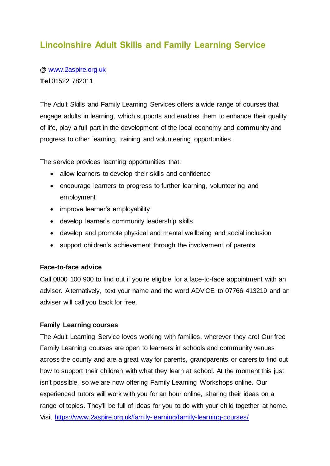### **Lincolnshire Adult Skills and Family Learning Service**

**@** www.2aspire.org.uk **Tel** 01522 782011

The Adult Skills and Family Learning Services offers a wide range of courses that engage adults in learning, which supports and enables them to enhance their quality of life, play a full part in the development of the local economy and community and progress to other learning, training and volunteering opportunities.

The service provides learning opportunities that:

- allow learners to develop their skills and confidence
- encourage learners to progress to further learning, volunteering and employment
- improve learner's employability
- develop learner's community leadership skills
- develop and promote physical and mental wellbeing and social inclusion
- support children's achievement through the involvement of parents

### **Face-to-face advice**

Call 0800 100 900 to find out if you're eligible for a face-to-face appointment with an adviser. Alternatively, text your name and the word ADVICE to 07766 413219 and an adviser will call you back for free.

### **Family Learning courses**

The Adult Learning Service loves working with families, wherever they are! Our free Family Learning courses are open to learners in schools and community venues across the county and are a great way for parents, grandparents or carers to find out how to support their children with what they learn at school. At the moment this just isn't possible, so we are now offering Family Learning Workshops online. Our experienced tutors will work with you for an hour online, sharing their ideas on a range of topics. They'll be full of ideas for you to do with your child together at home. Visit https://www.2aspire.org.uk/family-learning/family-learning-courses/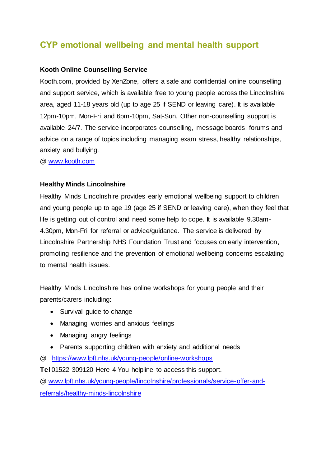### **CYP emotional wellbeing and mental health support**

### **Kooth Online Counselling Service**

Kooth.com, provided by XenZone, offers a safe and confidential online counselling and support service, which is available free to young people across the Lincolnshire area, aged 11-18 years old (up to age 25 if SEND or leaving care). It is available 12pm-10pm, Mon-Fri and 6pm-10pm, Sat-Sun. Other non-counselling support is available 24/7. The service incorporates counselling, message boards, forums and advice on a range of topics including managing exam stress, healthy relationships, anxiety and bullying.

**@** www.kooth.com

### **Healthy Minds Lincolnshire**

Healthy Minds Lincolnshire provides early emotional wellbeing support to children and young people up to age 19 (age 25 if SEND or leaving care), when they feel that life is getting out of control and need some help to cope. It is available 9.30am-4.30pm, Mon-Fri for referral or advice/guidance. The service is delivered by Lincolnshire Partnership NHS Foundation Trust and focuses on early intervention, promoting resilience and the prevention of emotional wellbeing concerns escalating to mental health issues.

Healthy Minds Lincolnshire has online workshops for young people and their parents/carers including:

- Survival guide to change
- Managing worries and anxious feelings
- Managing angry feelings
- Parents supporting children with anxiety and additional needs
- **@** https://www.lpft.nhs.uk/young-people/online-workshops

**Tel** 01522 309120 Here 4 You helpline to access this support.

**@** www.lpft.nhs.uk/young-people/lincolnshire/professionals/service-offer-andreferrals/healthy-minds-lincolnshire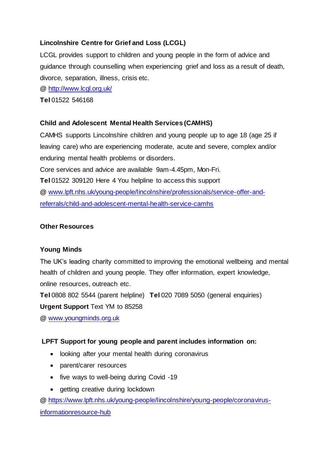### **Lincolnshire Centre for Grief and Loss (LCGL)**

LCGL provides support to children and young people in the form of advice and guidance through counselling when experiencing grief and loss as a result of death, divorce, separation, illness, crisis etc.

**@** http://www.lcgl.org.uk/

**Tel** 01522 546168

### **Child and Adolescent Mental Health Services (CAMHS)**

CAMHS supports Lincolnshire children and young people up to age 18 (age 25 if leaving care) who are experiencing moderate, acute and severe, complex and/or enduring mental health problems or disorders. Core services and advice are available 9am-4.45pm, Mon-Fri. **Tel** 01522 309120 Here 4 You helpline to access this support

**@** www.lpft.nhs.uk/young-people/lincolnshire/professionals/service-offer-andreferrals/child-and-adolescent-mental-health-service-camhs

### **Other Resources**

### **Young Minds**

The UK's leading charity committed to improving the emotional wellbeing and mental health of children and young people. They offer information, expert knowledge, online resources, outreach etc.

**Tel** 0808 802 5544 (parent helpline) **Tel** 020 7089 5050 (general enquiries)

**Urgent Support** Text YM to 85258

**@** www.youngminds.org.uk

### **LPFT Support for young people and parent includes information on:**

- looking after your mental health during coronavirus
- parent/carer resources
- five ways to well-being during Covid -19
- getting creative during lockdown

**@** https://www.lpft.nhs.uk/young-people/lincolnshire/young-people/coronavirusinformationresource-hub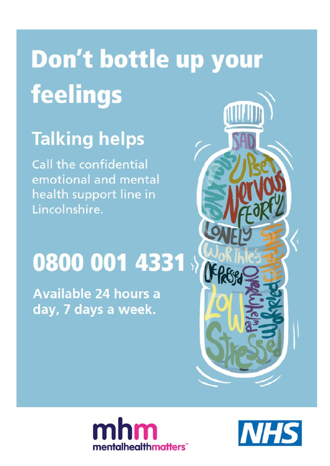# Don't bottle up your **feelings**

## **Talking helps**

**Call the confidential** emotional and mental health support line in Lincolnshire.

# 0800 001 4331

**Available 24 hours a** day, 7 days a week.





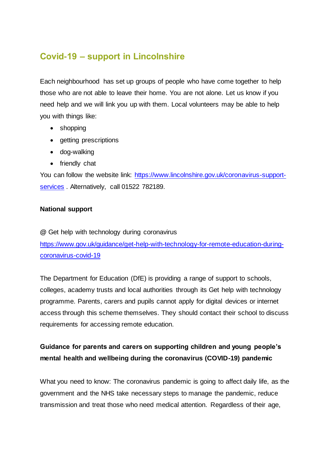### **Covid-19 – support in Lincolnshire**

Each neighbourhood has set up groups of people who have come together to help those who are not able to leave their home. You are not alone. Let us know if you need help and we will link you up with them. Local volunteers may be able to help you with things like:

- shopping
- getting prescriptions
- dog-walking
- friendly chat

You can follow the website link: https://www.lincolnshire.gov.uk/coronavirus-supportservices . Alternatively, call 01522 782189.

### **National support**

**@** Get help with technology during coronavirus https://www.gov.uk/guidance/get-help-with-technology-for-remote-education-duringcoronavirus-covid-19

The Department for Education (DfE) is providing a range of support to schools, colleges, academy trusts and local authorities through its Get help with technology programme. Parents, carers and pupils cannot apply for digital devices or internet access through this scheme themselves. They should contact their school to discuss requirements for accessing remote education.

### **Guidance for parents and carers on supporting children and young people's mental health and wellbeing during the coronavirus (COVID-19) pandemic**

What you need to know: The coronavirus pandemic is going to affect daily life, as the government and the NHS take necessary steps to manage the pandemic, reduce transmission and treat those who need medical attention. Regardless of their age,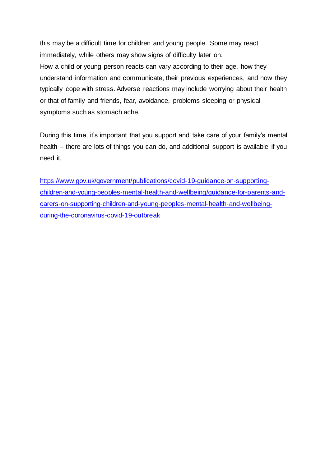this may be a difficult time for children and young people. Some may react immediately, while others may show signs of difficulty later on. How a child or young person reacts can vary according to their age, how they understand information and communicate, their previous experiences, and how they typically cope with stress. Adverse reactions may include worrying about their health or that of family and friends, fear, avoidance, problems sleeping or physical symptoms such as stomach ache.

During this time, it's important that you support and take care of your family's mental health – there are lots of things you can do, and additional support is available if you need it.

https://www.gov.uk/government/publications/covid-19-guidance-on-supportingchildren-and-young-peoples-mental-health-and-wellbeing/guidance-for-parents-andcarers-on-supporting-children-and-young-peoples-mental-health-and-wellbeingduring-the-coronavirus-covid-19-outbreak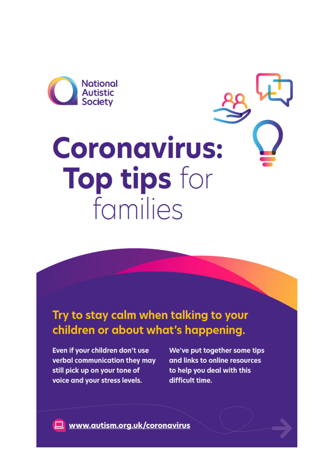

# **Coronavirus:** Top tips for families

### Try to stay calm when talking to your children or about what's happening.

Even if your children don't use verbal communication they may still pick up on your tone of voice and your stress levels.

We've put together some tips and links to online resources to help you deal with this difficult time.

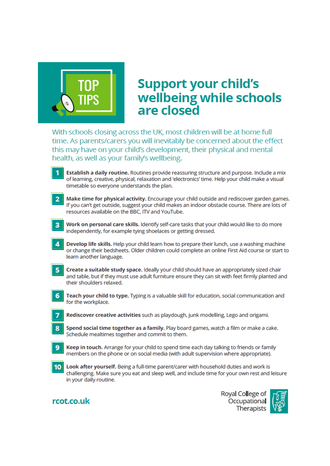

## **Support your child's** wellbeing while schools are closed

With schools closing across the UK, most children will be at home full time. As parents/carers you will inevitably be concerned about the effect this may have on your child's development, their physical and mental health, as well as your family's wellbeing.

- Establish a daily routine. Routines provide reassuring structure and purpose. Include a mix of learning, creative, physical, relaxation and 'electronics' time. Help your child make a visual timetable so everyone understands the plan.
- Make time for physical activity. Encourage your child outside and rediscover garden games. If you can't get outside, suggest your child makes an indoor obstacle course. There are lots of resources available on the BBC. ITV and YouTube.
- Work on personal care skills. Identify self-care tasks that your child would like to do more R independently, for example tying shoelaces or getting dressed.
- Develop life skills. Help your child learn how to prepare their lunch, use a washing machine or change their bedsheets. Older children could complete an online First Aid course or start to learn another language.
- 5 Create a suitable study space. Ideally your child should have an appropriately sized chair and table, but if they must use adult furniture ensure they can sit with feet firmly planted and their shoulders relaxed.
- 6 Teach your child to type. Typing is a valuable skill for education, social communication and for the workplace.
	- Rediscover creative activities such as playdough, junk modelling, Lego and origami.
- Spend social time together as a family. Play board games, watch a film or make a cake. 8 Schedule mealtimes together and commit to them.
- Keep in touch. Arrange for your child to spend time each day talking to friends or family members on the phone or on social media (with adult supervision where appropriate).
- Look after yourself. Being a full-time parent/carer with household duties and work is  $10<sup>1</sup>$ challenging. Make sure you eat and sleep well, and include time for your own rest and leisure in your daily routine.

### rcot.co.uk

Royal College of Occupational Therapists

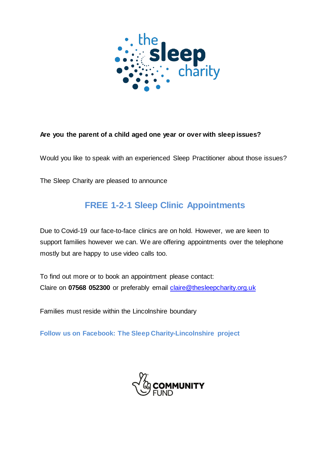

### **Are you the parent of a child aged one year or over with sleep issues?**

Would you like to speak with an experienced Sleep Practitioner about those issues?

The Sleep Charity are pleased to announce

### **FREE 1-2-1 Sleep Clinic Appointments**

Due to Covid-19 our face-to-face clinics are on hold. However, we are keen to support families however we can. We are offering appointments over the telephone mostly but are happy to use video calls too.

To find out more or to book an appointment please contact: Claire on **07568 052300** or preferably email claire@thesleepcharity.org.uk

Families must reside within the Lincolnshire boundary

**Follow us on Facebook: The Sleep Charity-Lincolnshire project**

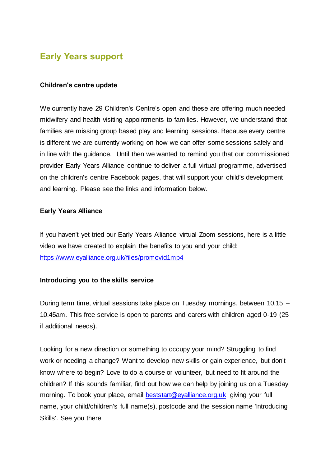### **Early Years support**

### **Children's centre update**

We currently have 29 Children's Centre's open and these are offering much needed midwifery and health visiting appointments to families. However, we understand that families are missing group based play and learning sessions. Because every centre is different we are currently working on how we can offer some sessions safely and in line with the guidance. Until then we wanted to remind you that our commissioned provider Early Years Alliance continue to deliver a full virtual programme, advertised on the children's centre Facebook pages, that will support your child's development and learning. Please see the links and information below.

### **Early Years Alliance**

If you haven't yet tried our Early Years Alliance virtual Zoom sessions, here is a little video we have created to explain the benefits to you and your child: https://www.eyalliance.org.uk/files/promovid1mp4

### **Introducing you to the skills service**

During term time, virtual sessions take place on Tuesday mornings, between 10.15 – 10.45am. This free service is open to parents and carers with children aged 0-19 (25 if additional needs).

Looking for a new direction or something to occupy your mind? Struggling to find work or needing a change? Want to develop new skills or gain experience, but don't know where to begin? Love to do a course or volunteer, but need to fit around the children? If this sounds familiar, find out how we can help by joining us on a Tuesday morning. To book your place, email **beststart@eyalliance.org.uk** giving your full name, your child/children's full name(s), postcode and the session name 'Introducing Skills'. See you there!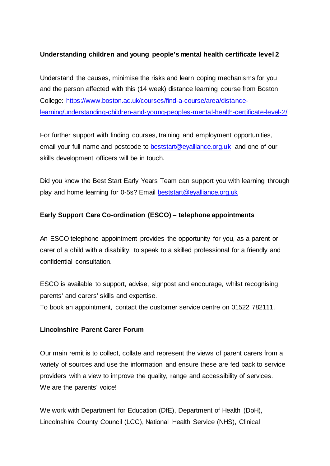### **Understanding children and young people's mental health certificate level 2**

Understand the causes, minimise the risks and learn coping mechanisms for you and the person affected with this (14 week) distance learning course from Boston College: https://www.boston.ac.uk/courses/find-a-course/area/distancelearning/understanding-children-and-young-peoples-mental-health-certificate-level-2/

For further support with finding courses, training and employment opportunities, email your full name and postcode to beststart@eyalliance.org.uk and one of our skills development officers will be in touch.

Did you know the Best Start Early Years Team can support you with learning through play and home learning for 0-5s? Email beststart@eyalliance.org.uk

### **Early Support Care Co-ordination (ESCO) – telephone appointments**

An ESCO telephone appointment provides the opportunity for you, as a parent or carer of a child with a disability, to speak to a skilled professional for a friendly and confidential consultation.

ESCO is available to support, advise, signpost and encourage, whilst recognising parents' and carers' skills and expertise.

To book an appointment, contact the customer service centre on 01522 782111.

### **Lincolnshire Parent Carer Forum**

Our main remit is to collect, collate and represent the views of parent carers from a variety of sources and use the information and ensure these are fed back to service providers with a view to improve the quality, range and accessibility of services. We are the parents' voice!

We work with Department for Education (DfE), Department of Health (DoH), Lincolnshire County Council (LCC), National Health Service (NHS), Clinical